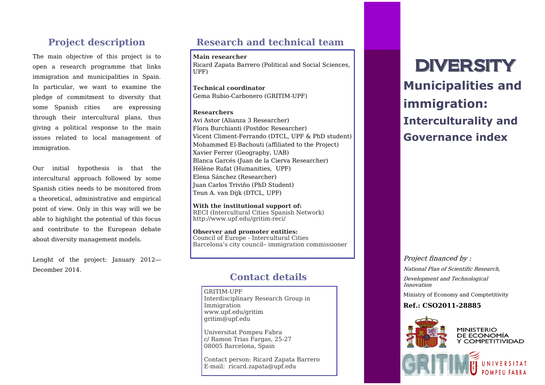# **Project description**

The main objective of this project is to open a research programme that links immigration and municipalities in Spain. In particular, we want to examine the pledge of commitment to diversity that some Spanish cities are expressing through their intercultural plans, thus giving a political response to the main issues related to local management of immigration.

Our initial hypothesis is that the intercultural approach followed by some Spanish cities needs to be monitored from a theoretical, administrative and empirical point of view. Only in this way will we be able to highlight the potential of this focus and contribute to the European debate about diversity management models.

Lenght of the project: January 2012— December 2014.

# **Research and technical team**

**Main researcher** Ricard Zapata Barrero (Political and Social Sciences, UPF)

**Technical coordinator** Gema Rubio-Carbonero (GRITIM-UPF)

### **Researchers**

Avi Astor (Alianza 3 Researcher) Flora Burchianti (Postdoc Researcher) Vicent Climent-Ferrando (DTCL, UPF & PhD student) Mohammed El-Bachouti (affiliated to the Project) Xavier Ferrer (Geography, UAB) Blanca Garcés (Juan de la Cierva Researcher) Hélène Rufat (Humanities, UPF) Elena Sánchez (Researcher) Juan Carlos Triviño (PhD Student) Teun A. van Dijk (DTCL, UPF)

**With the institutional support of:** RECI (Intercultural Cities Spanish Network) http://www.upf.edu/gritim-reci/

**Observer and promoter entities:** Council of Europe - Intercultural Cities Barcelona's city council– immigration commissioner

## **Contact details**

GRITIM-UPF Interdisciplinary Research Group in Immigration www.upf.edu/gritim gritim@upf.edu

Universitat Pompeu Fabra c/ Ramon Trias Fargas, 25-27 08005 Barcelona, Spain

Contact person: Ricard Zapata Barrero E-mail: ricard.zapata@upf.edu

# DIVERSITY **Municipalities and immigration: Interculturality and Governance index**

Project financed by : National Plan of Scientific Research, Development and Technological Innovation

Ministry of Economy and Comptetitivity

### **Ref.: CSO2011-28885**



**MINISTERIO** DE ECONOMÍA Y COMPETITIVIDAD